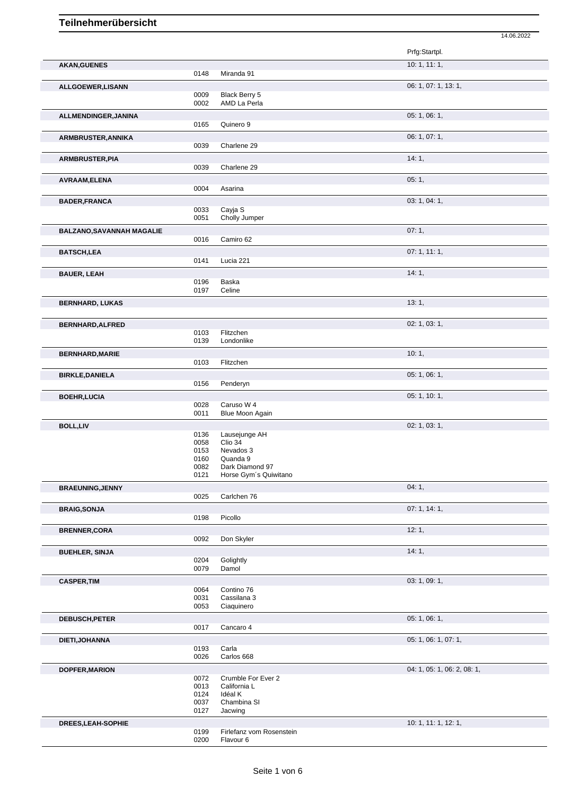|                                  |              |                                    | 14.06.2022                  |
|----------------------------------|--------------|------------------------------------|-----------------------------|
|                                  |              |                                    | Prfg:Startpl.               |
| <b>AKAN, GUENES</b>              |              |                                    | 10: 1, 11: 1,               |
|                                  | 0148         | Miranda 91                         |                             |
| ALLGOEWER, LISANN                |              |                                    | 06: 1, 07: 1, 13: 1,        |
|                                  | 0009         | Black Berry 5                      |                             |
|                                  | 0002         | AMD La Perla                       |                             |
| ALLMENDINGER, JANINA             |              |                                    | 05: 1, 06: 1,               |
|                                  | 0165         | Quinero 9                          |                             |
| ARMBRUSTER, ANNIKA               |              |                                    | 06: 1, 07: 1,               |
|                                  | 0039         | Charlene 29                        |                             |
| ARMBRUSTER, PIA                  |              |                                    | 14:1,                       |
|                                  | 0039         | Charlene 29                        |                             |
| AVRAAM, ELENA                    |              |                                    | 05:1,                       |
|                                  | 0004         | Asarina                            |                             |
| <b>BADER, FRANCA</b>             |              |                                    | 03: 1, 04: 1,               |
|                                  | 0033         | Cayja S                            |                             |
|                                  | 0051         | Cholly Jumper                      |                             |
| <b>BALZANO, SAVANNAH MAGALIE</b> |              |                                    | 07:1,                       |
|                                  | 0016         | Camiro 62                          |                             |
| <b>BATSCH,LEA</b>                |              |                                    | 07:1, 11:1,                 |
|                                  | 0141         | Lucia 221                          |                             |
| <b>BAUER, LEAH</b>               |              |                                    | 14:1,                       |
|                                  | 0196<br>0197 | Baska<br>Celine                    |                             |
|                                  |              |                                    |                             |
| <b>BERNHARD, LUKAS</b>           |              |                                    | 13:1,                       |
|                                  |              |                                    |                             |
| BERNHARD, ALFRED                 |              |                                    | 02: 1, 03: 1,               |
|                                  | 0103<br>0139 | Flitzchen<br>Londonlike            |                             |
|                                  |              |                                    |                             |
| <b>BERNHARD, MARIE</b>           | 0103         | Flitzchen                          | 10:1,                       |
|                                  |              |                                    |                             |
| <b>BIRKLE, DANIELA</b>           | 0156         | Penderyn                           | 05: 1, 06: 1,               |
|                                  |              |                                    | 05: 1, 10: 1,               |
| <b>BOEHR, LUCIA</b>              | 0028         | Caruso W 4                         |                             |
|                                  | 0011         | Blue Moon Again                    |                             |
| <b>BOLL,LIV</b>                  |              |                                    | 02: 1, 03: 1,               |
|                                  | 0136         | Lausejunge AH                      |                             |
|                                  | 0058         | Clio 34                            |                             |
|                                  | 0153         | Nevados 3                          |                             |
|                                  | 0160<br>0082 | Quanda 9<br>Dark Diamond 97        |                             |
|                                  | 0121         | Horse Gym's Quiwitano              |                             |
| <b>BRAEUNING, JENNY</b>          |              |                                    | 04:1,                       |
|                                  | 0025         | Carlchen 76                        |                             |
| <b>BRAIG, SONJA</b>              |              |                                    | 07:1, 14:1,                 |
|                                  | 0198         | Picollo                            |                             |
| <b>BRENNER,CORA</b>              |              |                                    | 12:1,                       |
|                                  | 0092         | Don Skyler                         |                             |
| <b>BUEHLER, SINJA</b>            |              |                                    | 14:1,                       |
|                                  | 0204         | Golightly                          |                             |
|                                  | 0079         | Damol                              |                             |
| <b>CASPER, TIM</b>               |              |                                    | 03: 1, 09: 1,               |
|                                  | 0064         | Contino 76                         |                             |
|                                  | 0031         | Cassilana 3                        |                             |
|                                  | 0053         | Ciaquinero                         |                             |
| <b>DEBUSCH, PETER</b>            |              |                                    | 05: 1, 06: 1,               |
|                                  | 0017         | Cancaro 4                          |                             |
| DIETI, JOHANNA                   |              |                                    | 05: 1, 06: 1, 07: 1,        |
|                                  | 0193         | Carla                              |                             |
|                                  | 0026         | Carlos 668                         |                             |
| <b>DOPFER, MARION</b>            |              |                                    | 04: 1, 05: 1, 06: 2, 08: 1, |
|                                  | 0072<br>0013 | Crumble For Ever 2<br>California L |                             |
|                                  | 0124         | Idéal K                            |                             |
|                                  | 0037         | Chambina SI                        |                             |
|                                  | 0127         | Jacwing                            |                             |
| DREES, LEAH-SOPHIE               |              |                                    | 10: 1, 11: 1, 12: 1,        |
|                                  | 0199         | Firlefanz vom Rosenstein           |                             |
|                                  | 0200         | Flavour 6                          |                             |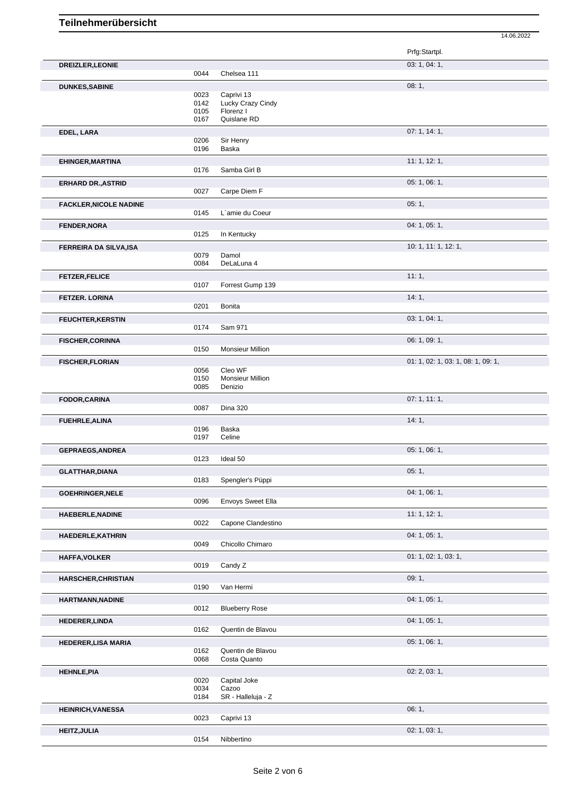## **Teilnehmerübersicht**

|                               |              |                          | 14.06.2022                         |
|-------------------------------|--------------|--------------------------|------------------------------------|
|                               |              |                          | Prfg:Startpl.                      |
| <b>DREIZLER, LEONIE</b>       |              |                          | 03: 1, 04: 1,                      |
|                               | 0044         | Chelsea 111              |                                    |
| <b>DUNKES, SABINE</b>         |              |                          | 08:1,                              |
|                               | 0023         | Caprivi 13               |                                    |
|                               | 0142         | Lucky Crazy Cindy        |                                    |
|                               | 0105<br>0167 | Florenz I<br>Quislane RD |                                    |
|                               |              |                          |                                    |
| EDEL, LARA                    |              |                          | 07:1, 14:1,                        |
|                               | 0206<br>0196 | Sir Henry<br>Baska       |                                    |
| <b>EHINGER, MARTINA</b>       |              |                          | 11:1, 12:1,                        |
|                               | 0176         | Samba Girl B             |                                    |
| <b>ERHARD DR., ASTRID</b>     |              |                          | 05: 1, 06: 1,                      |
|                               | 0027         | Carpe Diem F             |                                    |
| <b>FACKLER, NICOLE NADINE</b> |              |                          | 05:1,                              |
|                               | 0145         | L'amie du Coeur          |                                    |
| <b>FENDER, NORA</b>           |              |                          | 04: 1, 05: 1,                      |
|                               | 0125         | In Kentucky              |                                    |
| <b>FERREIRA DA SILVA, ISA</b> |              |                          | 10: 1, 11: 1, 12: 1,               |
|                               | 0079         | Damol                    |                                    |
|                               | 0084         | DeLaLuna 4               |                                    |
| <b>FETZER, FELICE</b>         |              |                          | 11:1,                              |
|                               | 0107         | Forrest Gump 139         |                                    |
| <b>FETZER. LORINA</b>         |              |                          | 14:1,                              |
|                               | 0201         | <b>Bonita</b>            |                                    |
| <b>FEUCHTER, KERSTIN</b>      |              |                          | 03: 1, 04: 1,                      |
|                               | 0174         | Sam 971                  |                                    |
| <b>FISCHER, CORINNA</b>       |              |                          | 06: 1, 09: 1,                      |
|                               | 0150         | Monsieur Million         |                                    |
| <b>FISCHER, FLORIAN</b>       |              |                          | 01: 1, 02: 1, 03: 1, 08: 1, 09: 1, |
|                               | 0056         | Cleo WF                  |                                    |
|                               | 0150         | Monsieur Million         |                                    |
|                               | 0085         | Denizio                  |                                    |
| <b>FODOR, CARINA</b>          |              |                          | 07:1, 11:1,                        |
|                               | 0087         | <b>Dina 320</b>          |                                    |
| <b>FUEHRLE, ALINA</b>         |              |                          | 14:1,                              |
|                               | 0196<br>0197 | Baska<br>Celine          |                                    |
|                               |              |                          | 05: 1, 06: 1,                      |
| <b>GEPRAEGS, ANDREA</b>       | 0123         | Ideal 50                 |                                    |
| <b>GLATTHAR, DIANA</b>        |              |                          | 05:1,                              |
|                               | 0183         | Spengler's Püppi         |                                    |
|                               |              |                          | 04: 1, 06: 1,                      |
| GOEHRINGER, NELE              | 0096         | Envoys Sweet Ella        |                                    |
|                               |              |                          | 11: 1, 12: 1,                      |
| <b>HAEBERLE, NADINE</b>       | 0022         | Capone Clandestino       |                                    |
| HAEDERLE, KATHRIN             |              |                          | 04: 1, 05: 1,                      |
|                               | 0049         | Chicollo Chimaro         |                                    |
|                               |              |                          | 01: 1, 02: 1, 03: 1,               |
| <b>HAFFA, VOLKER</b>          | 0019         | Candy Z                  |                                    |
|                               |              |                          | 09:1,                              |
| <b>HARSCHER, CHRISTIAN</b>    | 0190         | Van Hermi                |                                    |
|                               |              |                          | 04: 1, 05: 1,                      |
| <b>HARTMANN, NADINE</b>       | 0012         | <b>Blueberry Rose</b>    |                                    |
|                               |              |                          | 04: 1, 05: 1,                      |
| <b>HEDERER,LINDA</b>          | 0162         | Quentin de Blavou        |                                    |
|                               |              |                          |                                    |
| <b>HEDERER, LISA MARIA</b>    | 0162         | Quentin de Blavou        | 05: 1, 06: 1,                      |
|                               | 0068         | Costa Quanto             |                                    |
| <b>HEHNLE, PIA</b>            |              |                          | 02: 2, 03: 1,                      |
|                               | 0020         | Capital Joke             |                                    |
|                               | 0034         | Cazoo                    |                                    |
|                               | 0184         | SR - Halleluja - Z       |                                    |
| <b>HEINRICH, VANESSA</b>      |              |                          | 06:1,                              |
|                               | 0023         | Caprivi 13               |                                    |
| <b>HEITZ, JULIA</b>           |              |                          | 02: 1, 03: 1,                      |

0154 Nibbertino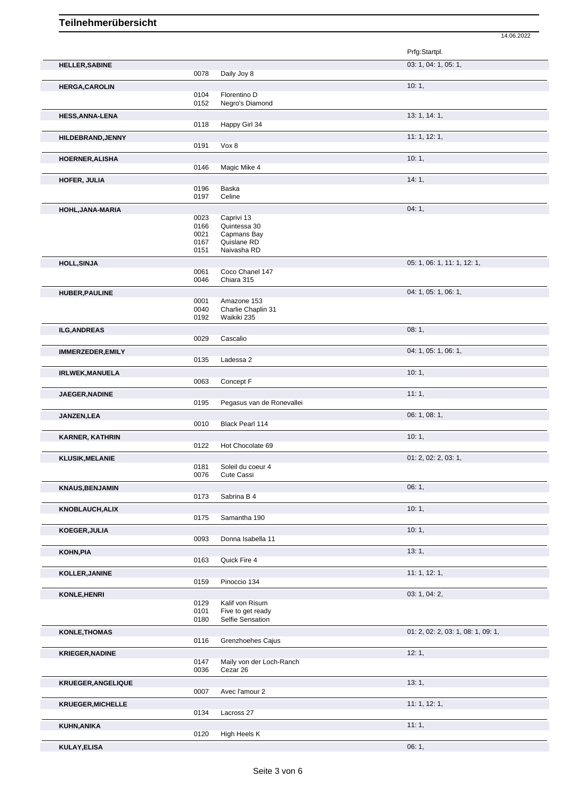## **Teilnehmerübersicht**

14.06.2022

|                           |              |                                      | Prfg:Startpl.                      |
|---------------------------|--------------|--------------------------------------|------------------------------------|
| <b>HELLER, SABINE</b>     |              |                                      | 03: 1, 04: 1, 05: 1,               |
|                           | 0078         | Daily Joy 8                          |                                    |
| <b>HERGA, CAROLIN</b>     |              |                                      | 10:1,                              |
|                           | 0104         | Florentino D                         |                                    |
|                           | 0152         | Negro's Diamond                      |                                    |
| <b>HESS, ANNA-LENA</b>    |              |                                      | 13: 1, 14: 1,                      |
|                           | 0118         | Happy Girl 34                        |                                    |
| HILDEBRAND, JENNY         | 0191         | Vox 8                                | 11: 1, 12: 1,                      |
|                           |              |                                      |                                    |
| <b>HOERNER, ALISHA</b>    | 0146         | Magic Mike 4                         | 10:1,                              |
|                           |              |                                      |                                    |
| <b>HOFER, JULIA</b>       | 0196         | Baska                                | 14:1,                              |
|                           | 0197         | Celine                               |                                    |
| HOHL, JANA-MARIA          |              |                                      | 04:1,                              |
|                           | 0023         | Caprivi 13                           |                                    |
|                           | 0166         | Quintessa 30                         |                                    |
|                           | 0021<br>0167 | Capmans Bay<br>Quislane RD           |                                    |
|                           | 0151         | Naivasha RD                          |                                    |
| <b>HOLL, SINJA</b>        |              |                                      | 05: 1, 06: 1, 11: 1, 12: 1,        |
|                           | 0061         | Coco Chanel 147                      |                                    |
|                           | 0046         | Chiara 315                           |                                    |
| <b>HUBER, PAULINE</b>     |              |                                      | 04: 1, 05: 1, 06: 1,               |
|                           | 0001<br>0040 | Amazone 153<br>Charlie Chaplin 31    |                                    |
|                           | 0192         | Waikiki 235                          |                                    |
| <b>ILG, ANDREAS</b>       |              |                                      | 08:1,                              |
|                           | 0029         | Cascalio                             |                                    |
| IMMERZEDER, EMILY         |              |                                      | 04: 1, 05: 1, 06: 1,               |
|                           | 0135         | Ladessa 2                            |                                    |
| <b>IRLWEK, MANUELA</b>    |              |                                      | 10:1,                              |
|                           | 0063         | Concept F                            |                                    |
| JAEGER, NADINE            |              |                                      | 11:1,                              |
|                           | 0195         | Pegasus van de Ronevallei            |                                    |
| <b>JANZEN,LEA</b>         |              |                                      | 06: 1, 08: 1,                      |
|                           | 0010         | Black Pearl 114                      |                                    |
| <b>KARNER, KATHRIN</b>    | 0122         | Hot Chocolate 69                     | 10:1,                              |
|                           |              |                                      |                                    |
| <b>KLUSIK, MELANIE</b>    | 0181         | Soleil du coeur 4                    | 01: 2, 02: 2, 03: 1,               |
|                           | 0076         | Cute Cassi                           |                                    |
| <b>KNAUS, BENJAMIN</b>    |              |                                      | 06: 1,                             |
|                           | 0173         | Sabrina B 4                          |                                    |
| <b>KNOBLAUCH, ALIX</b>    |              |                                      | 10:1,                              |
|                           | 0175         | Samantha 190                         |                                    |
| KOEGER, JULIA             |              |                                      | 10:1,                              |
|                           | 0093         | Donna Isabella 11                    |                                    |
| KOHN, PIA                 |              |                                      | 13:1,                              |
|                           | 0163         | Quick Fire 4                         |                                    |
| KOLLER, JANINE            |              |                                      | 11: 1, 12: 1,                      |
|                           | 0159         | Pinoccio 134                         |                                    |
| KONLE, HENRI              |              |                                      | 03: 1, 04: 2,                      |
|                           | 0129<br>0101 | Kalif von Risum<br>Five to get ready |                                    |
|                           | 0180         | Selfie Sensation                     |                                    |
| <b>KONLE, THOMAS</b>      |              |                                      | 01: 2, 02: 2, 03: 1, 08: 1, 09: 1, |
|                           | 0116         | Grenzhoehes Cajus                    |                                    |
| <b>KRIEGER, NADINE</b>    |              |                                      | 12:1,                              |
|                           | 0147         | Maily von der Loch-Ranch             |                                    |
|                           | 0036         | Cezar 26                             |                                    |
| <b>KRUEGER, ANGELIQUE</b> |              |                                      | 13:1,                              |
|                           | 0007         | Avec l'amour 2                       |                                    |
| KRUEGER, MICHELLE         |              |                                      | 11:1, 12:1,                        |
|                           | 0134         | Lacross 27                           |                                    |
| KUHN, ANIKA               | 0120         | High Heels K                         | 11:1,                              |
|                           |              |                                      | 06:1,                              |
| KULAY, ELISA              |              |                                      |                                    |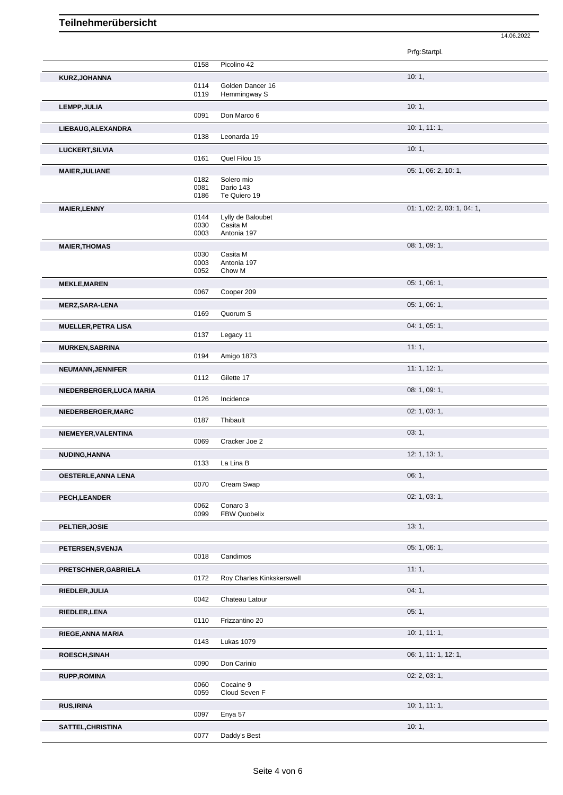14.06.2022

|                            |              |                           | Prfg:Startpl.               |
|----------------------------|--------------|---------------------------|-----------------------------|
|                            | 0158         | Picolino 42               |                             |
| KURZ, JOHANNA              |              |                           | 10:1,                       |
|                            | 0114         | Golden Dancer 16          |                             |
|                            | 0119         | Hemmingway S              |                             |
| LEMPP, JULIA               | 0091         | Don Marco 6               | 10:1,                       |
|                            |              |                           |                             |
| LIEBAUG, ALEXANDRA         | 0138         | Leonarda 19               | 10:1, 11:1,                 |
|                            |              |                           |                             |
| LUCKERT, SILVIA            | 0161         | Quel Filou 15             | 10:1,                       |
|                            |              |                           |                             |
| <b>MAIER, JULIANE</b>      | 0182         | Solero mio                | 05: 1, 06: 2, 10: 1,        |
|                            | 0081         | Dario 143                 |                             |
|                            | 0186         | Te Quiero 19              |                             |
| <b>MAIER, LENNY</b>        |              |                           | 01: 1, 02: 2, 03: 1, 04: 1, |
|                            | 0144         | Lylly de Baloubet         |                             |
|                            | 0030<br>0003 | Casita M<br>Antonia 197   |                             |
|                            |              |                           |                             |
| <b>MAIER, THOMAS</b>       | 0030         | Casita M                  | 08: 1, 09: 1,               |
|                            | 0003         | Antonia 197               |                             |
|                            | 0052         | Chow M                    |                             |
| <b>MEKLE, MAREN</b>        |              |                           | 05: 1, 06: 1,               |
|                            | 0067         | Cooper 209                |                             |
| <b>MERZ, SARA-LENA</b>     |              |                           | 05: 1, 06: 1,               |
|                            | 0169         | Quorum S                  |                             |
| <b>MUELLER, PETRA LISA</b> |              |                           | 04: 1, 05: 1,               |
|                            | 0137         | Legacy 11                 |                             |
| <b>MURKEN, SABRINA</b>     |              |                           | 11:1,                       |
|                            | 0194         | Amigo 1873                |                             |
| NEUMANN, JENNIFER          |              |                           | 11:1, 12:1,                 |
|                            | 0112         | Gilette 17                |                             |
| NIEDERBERGER, LUCA MARIA   |              |                           | 08: 1, 09: 1,               |
|                            | 0126         | Incidence                 |                             |
| NIEDERBERGER, MARC         |              |                           | 02: 1, 03: 1,               |
|                            | 0187         | Thibault                  |                             |
| NIEMEYER, VALENTINA        |              |                           | 03:1,                       |
|                            | 0069         | Cracker Joe 2             |                             |
| NUDING, HANNA              |              |                           | 12: 1, 13: 1,               |
|                            | 0133         | La Lina B                 |                             |
| <b>OESTERLE, ANNA LENA</b> |              |                           | 06:1,                       |
|                            | 0070         | Cream Swap                |                             |
| PECH, LEANDER              |              |                           | 02: 1, 03: 1,               |
|                            | 0062         | Conaro 3                  |                             |
|                            | 0099         | FBW Quobelix              |                             |
| PELTIER, JOSIE             |              |                           | 13:1,                       |
|                            |              |                           |                             |
| PETERSEN, SVENJA           |              |                           | 05: 1, 06: 1,               |
|                            | 0018         | Candimos                  |                             |
| PRETSCHNER, GABRIELA       |              |                           | 11:1,                       |
|                            | 0172         | Roy Charles Kinkskerswell |                             |
| RIEDLER, JULIA             |              |                           | 04:1,                       |
|                            | 0042         | Chateau Latour            |                             |
| RIEDLER, LENA              |              |                           | 05:1,                       |
|                            | 0110         | Frizzantino 20            |                             |
| RIEGE, ANNA MARIA          |              |                           | 10:1, 11:1,                 |
|                            | 0143         | Lukas 1079                |                             |
| ROESCH, SINAH              |              |                           | 06: 1, 11: 1, 12: 1,        |
|                            | 0090         | Don Carinio               |                             |
| <b>RUPP, ROMINA</b>        |              |                           | 02: 2, 03: 1,               |
|                            | 0060         | Cocaine 9                 |                             |
|                            | 0059         | Cloud Seven F             |                             |
| <b>RUS, IRINA</b>          |              |                           | 10:1, 11:1,                 |
|                            | 0097         | Enya 57                   |                             |
| SATTEL, CHRISTINA          |              |                           | 10:1,                       |
|                            | 0077         | Daddy's Best              |                             |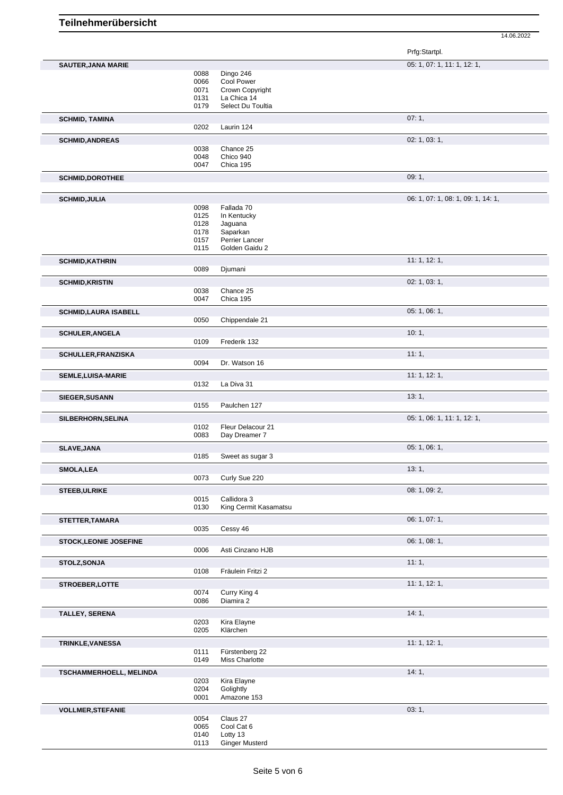14.06.2022

|                              |              |                                    | Prfg:Startpl.                      |
|------------------------------|--------------|------------------------------------|------------------------------------|
| <b>SAUTER, JANA MARIE</b>    |              |                                    | 05: 1, 07: 1, 11: 1, 12: 1,        |
|                              | 0088         | Dingo 246                          |                                    |
|                              | 0066         | Cool Power<br>Crown Copyright      |                                    |
|                              | 0071<br>0131 | La Chica 14                        |                                    |
|                              | 0179         | Select Du Toultia                  |                                    |
| <b>SCHMID, TAMINA</b>        |              |                                    | 07:1,                              |
|                              | 0202         | Laurin 124                         |                                    |
| <b>SCHMID, ANDREAS</b>       |              |                                    | 02: 1, 03: 1,                      |
|                              | 0038         | Chance 25                          |                                    |
|                              | 0048         | Chico 940                          |                                    |
|                              | 0047         | Chica 195                          |                                    |
| <b>SCHMID, DOROTHEE</b>      |              |                                    | 09:1,                              |
|                              |              |                                    |                                    |
| <b>SCHMID, JULIA</b>         | 0098         | Fallada 70                         | 06: 1, 07: 1, 08: 1, 09: 1, 14: 1, |
|                              | 0125         | In Kentucky                        |                                    |
|                              | 0128         | Jaguana                            |                                    |
|                              | 0178         | Saparkan                           |                                    |
|                              | 0157<br>0115 | Perrier Lancer<br>Golden Gaidu 2   |                                    |
|                              |              |                                    |                                    |
| <b>SCHMID, KATHRIN</b>       | 0089         | Djumani                            | 11: 1, 12: 1,                      |
|                              |              |                                    | 02: 1, 03: 1,                      |
| <b>SCHMID, KRISTIN</b>       | 0038         | Chance 25                          |                                    |
|                              | 0047         | Chica 195                          |                                    |
| <b>SCHMID,LAURA ISABELL</b>  |              |                                    | 05: 1, 06: 1,                      |
|                              | 0050         | Chippendale 21                     |                                    |
| <b>SCHULER, ANGELA</b>       |              |                                    | 10:1,                              |
|                              | 0109         | Frederik 132                       |                                    |
| <b>SCHULLER, FRANZISKA</b>   |              |                                    | 11:1,                              |
|                              | 0094         | Dr. Watson 16                      |                                    |
| <b>SEMLE, LUISA-MARIE</b>    |              |                                    | 11: 1, 12: 1,                      |
|                              | 0132         | La Diva 31                         |                                    |
| SIEGER, SUSANN               |              |                                    | 13:1,                              |
|                              | 0155         | Paulchen 127                       |                                    |
| SILBERHORN, SELINA           |              |                                    | 05: 1, 06: 1, 11: 1, 12: 1,        |
|                              | 0102<br>0083 | Fleur Delacour 21<br>Day Dreamer 7 |                                    |
| SLAVE, JANA                  |              |                                    | 05:1,06:1,                         |
|                              | 0185         | Sweet as sugar 3                   |                                    |
| <b>SMOLA,LEA</b>             |              |                                    | 13:1,                              |
|                              | 0073         | Curly Sue 220                      |                                    |
| <b>STEEB, ULRIKE</b>         |              |                                    | 08: 1, 09: 2,                      |
|                              | 0015         | Callidora 3                        |                                    |
|                              | 0130         | King Cermit Kasamatsu              |                                    |
| STETTER, TAMARA              |              |                                    | 06: 1, 07: 1,                      |
|                              | 0035         | Cessy 46                           |                                    |
| <b>STOCK,LEONIE JOSEFINE</b> |              |                                    | 06: 1, 08: 1,                      |
|                              | 0006         | Asti Cinzano HJB                   |                                    |
| STOLZ, SONJA                 |              |                                    | 11:1,                              |
|                              | 0108         | Fräulein Fritzi 2                  |                                    |
| STROEBER, LOTTE              |              |                                    | 11: 1, 12: 1,                      |
|                              | 0074<br>0086 | Curry King 4<br>Diamira 2          |                                    |
|                              |              |                                    | 14:1,                              |
| <b>TALLEY, SERENA</b>        | 0203         | Kira Elayne                        |                                    |
|                              | 0205         | Klärchen                           |                                    |
| <b>TRINKLE, VANESSA</b>      |              |                                    | 11:1, 12:1,                        |
|                              | 0111         | Fürstenberg 22                     |                                    |
|                              | 0149         | Miss Charlotte                     |                                    |
| TSCHAMMERHOELL, MELINDA      |              |                                    | 14:1,                              |
|                              | 0203<br>0204 | Kira Elayne<br>Golightly           |                                    |
|                              | 0001         | Amazone 153                        |                                    |
| <b>VOLLMER, STEFANIE</b>     |              |                                    | 03: 1,                             |
|                              | 0054         | Claus 27                           |                                    |
|                              | 0065         | Cool Cat 6                         |                                    |
|                              | 0140<br>0113 | Lotty 13<br><b>Ginger Musterd</b>  |                                    |